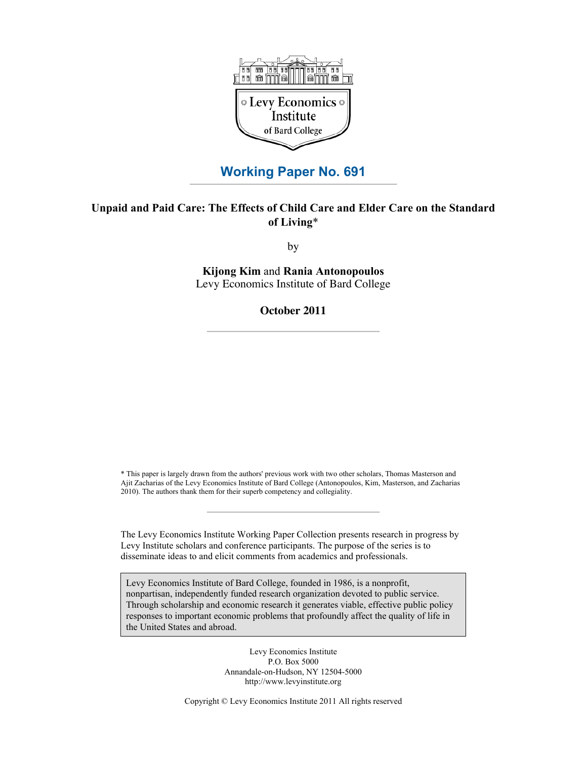

## **Working Paper No. 691**

## **Unpaid and Paid Care: The Effects of Child Care and Elder Care on the Standard of Living**\*

by

**Kijong Kim** and **Rania Antonopoulos** Levy Economics Institute of Bard College

**October 2011**

\* This paper is largely drawn from the authors' previous work with two other scholars, Thomas Masterson and Ajit Zacharias of the Levy Economics Institute of Bard College (Antonopoulos, Kim, Masterson, and Zacharias 2010). The authors thank them for their superb competency and collegiality.

The Levy Economics Institute Working Paper Collection presents research in progress by Levy Institute scholars and conference participants. The purpose of the series is to disseminate ideas to and elicit comments from academics and professionals.

Levy Economics Institute of Bard College, founded in 1986, is a nonprofit, nonpartisan, independently funded research organization devoted to public service. Through scholarship and economic research it generates viable, effective public policy responses to important economic problems that profoundly affect the quality of life in the United States and abroad.

> Levy Economics Institute P.O. Box 5000 Annandale-on-Hudson, NY 12504-5000 http://www.levyinstitute.org

Copyright © Levy Economics Institute 2011 All rights reserved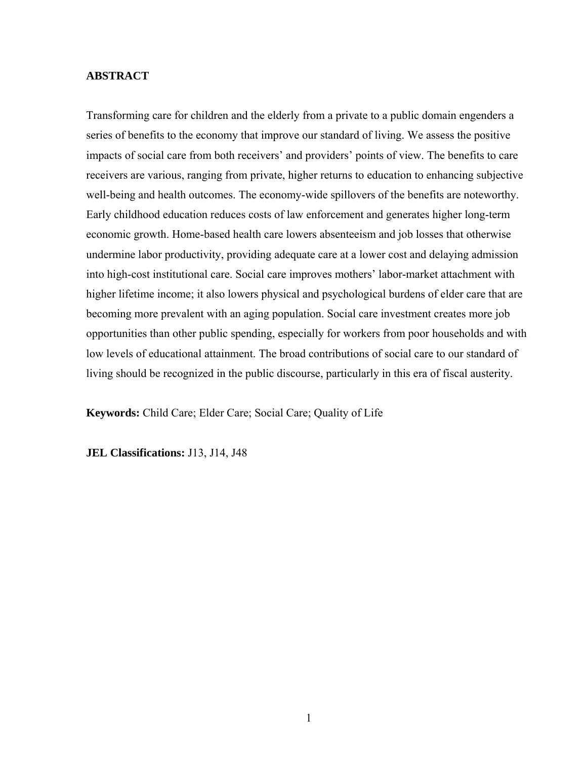## **ABSTRACT**

Transforming care for children and the elderly from a private to a public domain engenders a series of benefits to the economy that improve our standard of living. We assess the positive impacts of social care from both receivers' and providers' points of view. The benefits to care receivers are various, ranging from private, higher returns to education to enhancing subjective well-being and health outcomes. The economy-wide spillovers of the benefits are noteworthy. Early childhood education reduces costs of law enforcement and generates higher long-term economic growth. Home-based health care lowers absenteeism and job losses that otherwise undermine labor productivity, providing adequate care at a lower cost and delaying admission into high-cost institutional care. Social care improves mothers' labor-market attachment with higher lifetime income; it also lowers physical and psychological burdens of elder care that are becoming more prevalent with an aging population. Social care investment creates more job opportunities than other public spending, especially for workers from poor households and with low levels of educational attainment. The broad contributions of social care to our standard of living should be recognized in the public discourse, particularly in this era of fiscal austerity.

**Keywords:** Child Care; Elder Care; Social Care; Quality of Life

**JEL Classifications:** J13, J14, J48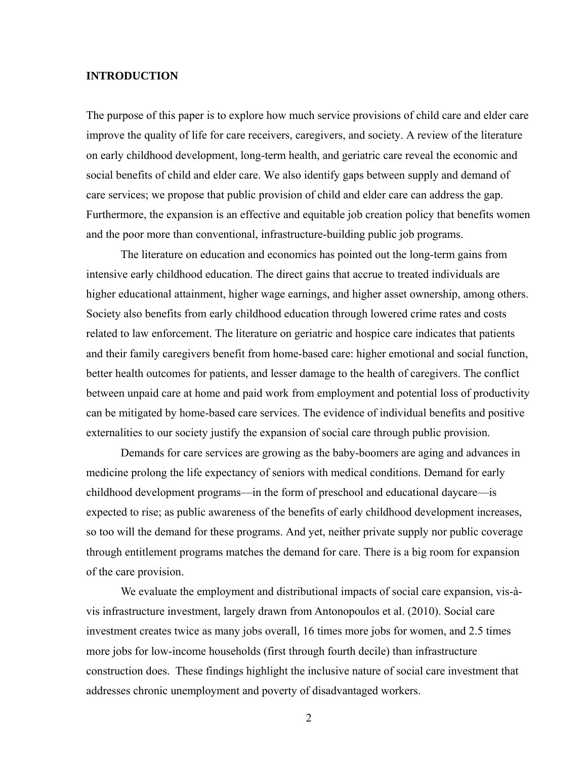## **INTRODUCTION**

The purpose of this paper is to explore how much service provisions of child care and elder care improve the quality of life for care receivers, caregivers, and society. A review of the literature on early childhood development, long-term health, and geriatric care reveal the economic and social benefits of child and elder care. We also identify gaps between supply and demand of care services; we propose that public provision of child and elder care can address the gap. Furthermore, the expansion is an effective and equitable job creation policy that benefits women and the poor more than conventional, infrastructure-building public job programs.

The literature on education and economics has pointed out the long-term gains from intensive early childhood education. The direct gains that accrue to treated individuals are higher educational attainment, higher wage earnings, and higher asset ownership, among others. Society also benefits from early childhood education through lowered crime rates and costs related to law enforcement. The literature on geriatric and hospice care indicates that patients and their family caregivers benefit from home-based care: higher emotional and social function, better health outcomes for patients, and lesser damage to the health of caregivers. The conflict between unpaid care at home and paid work from employment and potential loss of productivity can be mitigated by home-based care services. The evidence of individual benefits and positive externalities to our society justify the expansion of social care through public provision.

Demands for care services are growing as the baby-boomers are aging and advances in medicine prolong the life expectancy of seniors with medical conditions. Demand for early childhood development programs—in the form of preschool and educational daycare—is expected to rise; as public awareness of the benefits of early childhood development increases, so too will the demand for these programs. And yet, neither private supply nor public coverage through entitlement programs matches the demand for care. There is a big room for expansion of the care provision.

We evaluate the employment and distributional impacts of social care expansion, vis-àvis infrastructure investment, largely drawn from Antonopoulos et al. (2010). Social care investment creates twice as many jobs overall, 16 times more jobs for women, and 2.5 times more jobs for low-income households (first through fourth decile) than infrastructure construction does. These findings highlight the inclusive nature of social care investment that addresses chronic unemployment and poverty of disadvantaged workers.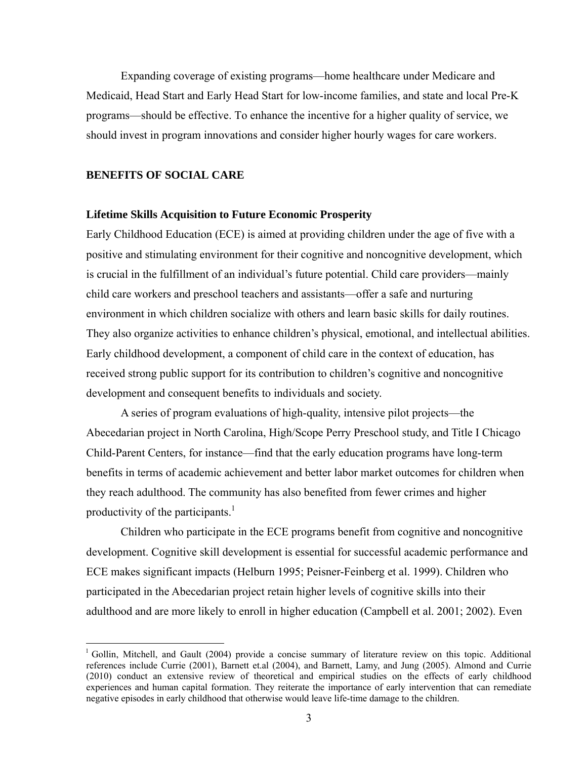Expanding coverage of existing programs—home healthcare under Medicare and Medicaid, Head Start and Early Head Start for low-income families, and state and local Pre-K programs—should be effective. To enhance the incentive for a higher quality of service, we should invest in program innovations and consider higher hourly wages for care workers.

## **BENEFITS OF SOCIAL CARE**

<u>.</u>

#### **Lifetime Skills Acquisition to Future Economic Prosperity**

Early Childhood Education (ECE) is aimed at providing children under the age of five with a positive and stimulating environment for their cognitive and noncognitive development, which is crucial in the fulfillment of an individual's future potential. Child care providers—mainly child care workers and preschool teachers and assistants—offer a safe and nurturing environment in which children socialize with others and learn basic skills for daily routines. They also organize activities to enhance children's physical, emotional, and intellectual abilities. Early childhood development, a component of child care in the context of education, has received strong public support for its contribution to children's cognitive and noncognitive development and consequent benefits to individuals and society.

A series of program evaluations of high-quality, intensive pilot projects—the Abecedarian project in North Carolina, High/Scope Perry Preschool study, and Title I Chicago Child-Parent Centers, for instance—find that the early education programs have long-term benefits in terms of academic achievement and better labor market outcomes for children when they reach adulthood. The community has also benefited from fewer crimes and higher productivity of the participants.<sup>1</sup>

Children who participate in the ECE programs benefit from cognitive and noncognitive development. Cognitive skill development is essential for successful academic performance and ECE makes significant impacts (Helburn 1995; Peisner-Feinberg et al. 1999). Children who participated in the Abecedarian project retain higher levels of cognitive skills into their adulthood and are more likely to enroll in higher education (Campbell et al. 2001; 2002). Even

<sup>&</sup>lt;sup>1</sup> Gollin, Mitchell, and Gault (2004) provide a concise summary of literature review on this topic. Additional references include Currie (2001), Barnett et.al (2004), and Barnett, Lamy, and Jung (2005). Almond and Currie (2010) conduct an extensive review of theoretical and empirical studies on the effects of early childhood experiences and human capital formation. They reiterate the importance of early intervention that can remediate negative episodes in early childhood that otherwise would leave life-time damage to the children.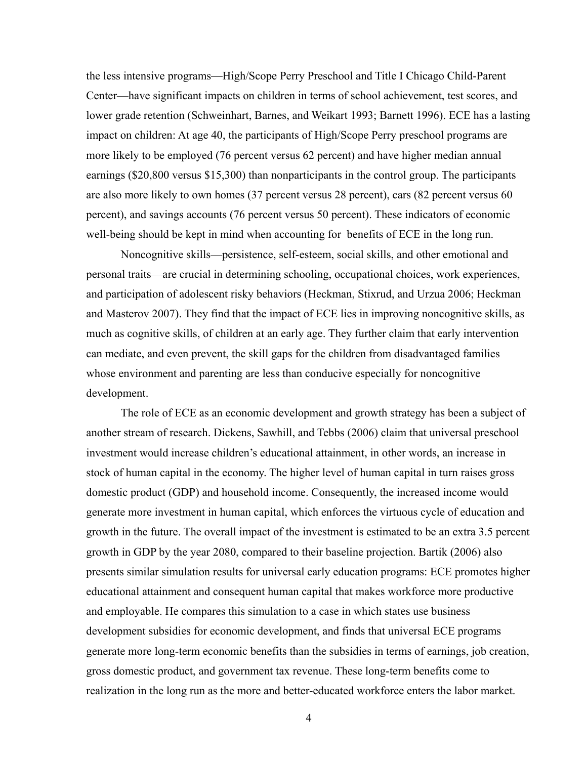the less intensive programs—High/Scope Perry Preschool and Title I Chicago Child-Parent Center—have significant impacts on children in terms of school achievement, test scores, and lower grade retention (Schweinhart, Barnes, and Weikart 1993; Barnett 1996). ECE has a lasting impact on children: At age 40, the participants of High/Scope Perry preschool programs are more likely to be employed (76 percent versus 62 percent) and have higher median annual earnings (\$20,800 versus \$15,300) than nonparticipants in the control group. The participants are also more likely to own homes (37 percent versus 28 percent), cars (82 percent versus 60 percent), and savings accounts (76 percent versus 50 percent). These indicators of economic well-being should be kept in mind when accounting for benefits of ECE in the long run.

Noncognitive skills—persistence, self-esteem, social skills, and other emotional and personal traits—are crucial in determining schooling, occupational choices, work experiences, and participation of adolescent risky behaviors (Heckman, Stixrud, and Urzua 2006; Heckman and Masterov 2007). They find that the impact of ECE lies in improving noncognitive skills, as much as cognitive skills, of children at an early age. They further claim that early intervention can mediate, and even prevent, the skill gaps for the children from disadvantaged families whose environment and parenting are less than conducive especially for noncognitive development.

The role of ECE as an economic development and growth strategy has been a subject of another stream of research. Dickens, Sawhill, and Tebbs (2006) claim that universal preschool investment would increase children's educational attainment, in other words, an increase in stock of human capital in the economy. The higher level of human capital in turn raises gross domestic product (GDP) and household income. Consequently, the increased income would generate more investment in human capital, which enforces the virtuous cycle of education and growth in the future. The overall impact of the investment is estimated to be an extra 3.5 percent growth in GDP by the year 2080, compared to their baseline projection. Bartik (2006) also presents similar simulation results for universal early education programs: ECE promotes higher educational attainment and consequent human capital that makes workforce more productive and employable. He compares this simulation to a case in which states use business development subsidies for economic development, and finds that universal ECE programs generate more long-term economic benefits than the subsidies in terms of earnings, job creation, gross domestic product, and government tax revenue. These long-term benefits come to realization in the long run as the more and better-educated workforce enters the labor market.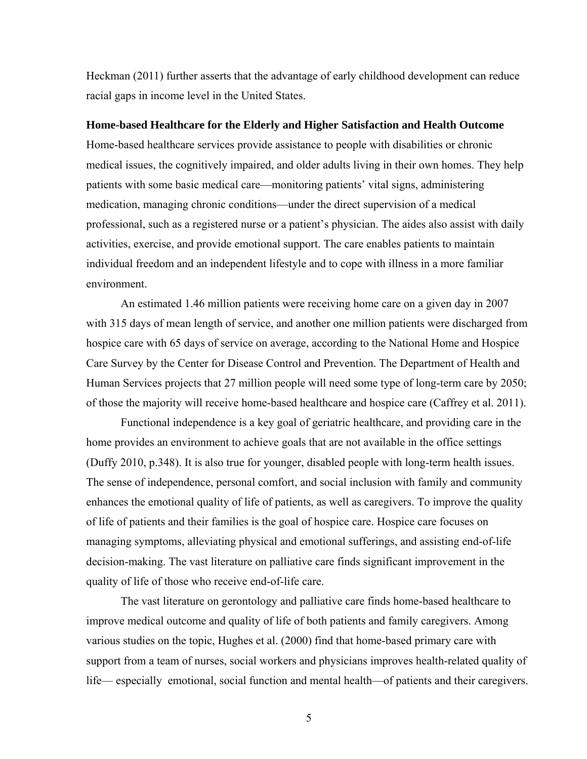Heckman (2011) further asserts that the advantage of early childhood development can reduce racial gaps in income level in the United States.

#### **Home-based Healthcare for the Elderly and Higher Satisfaction and Health Outcome**

Home-based healthcare services provide assistance to people with disabilities or chronic medical issues, the cognitively impaired, and older adults living in their own homes. They help patients with some basic medical care—monitoring patients' vital signs, administering medication, managing chronic conditions—under the direct supervision of a medical professional, such as a registered nurse or a patient's physician. The aides also assist with daily activities, exercise, and provide emotional support. The care enables patients to maintain individual freedom and an independent lifestyle and to cope with illness in a more familiar environment.

An estimated 1.46 million patients were receiving home care on a given day in 2007 with 315 days of mean length of service, and another one million patients were discharged from hospice care with 65 days of service on average, according to the National Home and Hospice Care Survey by the Center for Disease Control and Prevention. The Department of Health and Human Services projects that 27 million people will need some type of long-term care by 2050; of those the majority will receive home-based healthcare and hospice care (Caffrey et al. 2011).

Functional independence is a key goal of geriatric healthcare, and providing care in the home provides an environment to achieve goals that are not available in the office settings (Duffy 2010, p.348). It is also true for younger, disabled people with long-term health issues. The sense of independence, personal comfort, and social inclusion with family and community enhances the emotional quality of life of patients, as well as caregivers. To improve the quality of life of patients and their families is the goal of hospice care. Hospice care focuses on managing symptoms, alleviating physical and emotional sufferings, and assisting end-of-life decision-making. The vast literature on palliative care finds significant improvement in the quality of life of those who receive end-of-life care.

The vast literature on gerontology and palliative care finds home-based healthcare to improve medical outcome and quality of life of both patients and family caregivers. Among various studies on the topic, Hughes et al. (2000) find that home-based primary care with support from a team of nurses, social workers and physicians improves health-related quality of life— especially emotional, social function and mental health—of patients and their caregivers.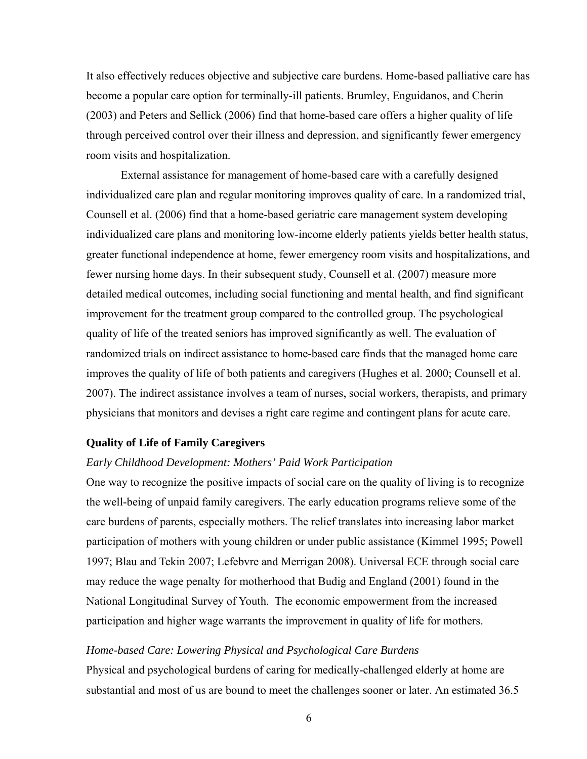It also effectively reduces objective and subjective care burdens. Home-based palliative care has become a popular care option for terminally-ill patients. Brumley, Enguidanos, and Cherin (2003) and Peters and Sellick (2006) find that home-based care offers a higher quality of life through perceived control over their illness and depression, and significantly fewer emergency room visits and hospitalization.

External assistance for management of home-based care with a carefully designed individualized care plan and regular monitoring improves quality of care. In a randomized trial, Counsell et al. (2006) find that a home-based geriatric care management system developing individualized care plans and monitoring low-income elderly patients yields better health status, greater functional independence at home, fewer emergency room visits and hospitalizations, and fewer nursing home days. In their subsequent study, Counsell et al. (2007) measure more detailed medical outcomes, including social functioning and mental health, and find significant improvement for the treatment group compared to the controlled group. The psychological quality of life of the treated seniors has improved significantly as well. The evaluation of randomized trials on indirect assistance to home-based care finds that the managed home care improves the quality of life of both patients and caregivers (Hughes et al. 2000; Counsell et al. 2007). The indirect assistance involves a team of nurses, social workers, therapists, and primary physicians that monitors and devises a right care regime and contingent plans for acute care.

## **Quality of Life of Family Caregivers**

#### *Early Childhood Development: Mothers' Paid Work Participation*

One way to recognize the positive impacts of social care on the quality of living is to recognize the well-being of unpaid family caregivers. The early education programs relieve some of the care burdens of parents, especially mothers. The relief translates into increasing labor market participation of mothers with young children or under public assistance (Kimmel 1995; Powell 1997; Blau and Tekin 2007; Lefebvre and Merrigan 2008). Universal ECE through social care may reduce the wage penalty for motherhood that Budig and England (2001) found in the National Longitudinal Survey of Youth. The economic empowerment from the increased participation and higher wage warrants the improvement in quality of life for mothers.

#### *Home-based Care: Lowering Physical and Psychological Care Burdens*

Physical and psychological burdens of caring for medically-challenged elderly at home are substantial and most of us are bound to meet the challenges sooner or later. An estimated 36.5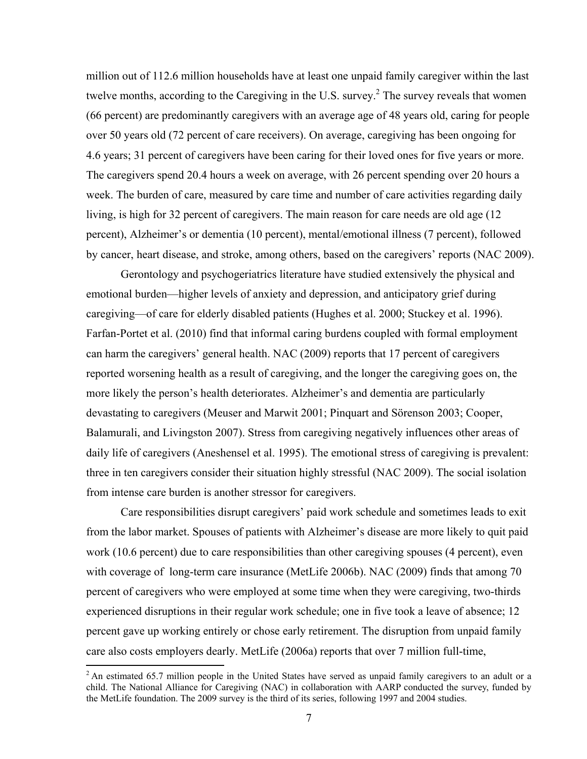million out of 112.6 million households have at least one unpaid family caregiver within the last twelve months, according to the Caregiving in the U.S. survey.<sup>2</sup> The survey reveals that women (66 percent) are predominantly caregivers with an average age of 48 years old, caring for people over 50 years old (72 percent of care receivers). On average, caregiving has been ongoing for 4.6 years; 31 percent of caregivers have been caring for their loved ones for five years or more. The caregivers spend 20.4 hours a week on average, with 26 percent spending over 20 hours a week. The burden of care, measured by care time and number of care activities regarding daily living, is high for 32 percent of caregivers. The main reason for care needs are old age (12 percent), Alzheimer's or dementia (10 percent), mental/emotional illness (7 percent), followed by cancer, heart disease, and stroke, among others, based on the caregivers' reports (NAC 2009).

Gerontology and psychogeriatrics literature have studied extensively the physical and emotional burden—higher levels of anxiety and depression, and anticipatory grief during caregiving—of care for elderly disabled patients (Hughes et al. 2000; Stuckey et al. 1996). Farfan-Portet et al. (2010) find that informal caring burdens coupled with formal employment can harm the caregivers' general health. NAC (2009) reports that 17 percent of caregivers reported worsening health as a result of caregiving, and the longer the caregiving goes on, the more likely the person's health deteriorates. Alzheimer's and dementia are particularly devastating to caregivers (Meuser and Marwit 2001; Pinquart and Sörenson 2003; Cooper, Balamurali, and Livingston 2007). Stress from caregiving negatively influences other areas of daily life of caregivers (Aneshensel et al. 1995). The emotional stress of caregiving is prevalent: three in ten caregivers consider their situation highly stressful (NAC 2009). The social isolation from intense care burden is another stressor for caregivers.

Care responsibilities disrupt caregivers' paid work schedule and sometimes leads to exit from the labor market. Spouses of patients with Alzheimer's disease are more likely to quit paid work (10.6 percent) due to care responsibilities than other caregiving spouses (4 percent), even with coverage of long-term care insurance (MetLife 2006b). NAC (2009) finds that among 70 percent of caregivers who were employed at some time when they were caregiving, two-thirds experienced disruptions in their regular work schedule; one in five took a leave of absence; 12 percent gave up working entirely or chose early retirement. The disruption from unpaid family care also costs employers dearly. MetLife (2006a) reports that over 7 million full-time,

<sup>&</sup>lt;sup>2</sup> An estimated 65.7 million people in the United States have served as unpaid family caregivers to an adult or a child. The National Alliance for Caregiving (NAC) in collaboration with AARP conducted the survey, funded by the MetLife foundation. The 2009 survey is the third of its series, following 1997 and 2004 studies.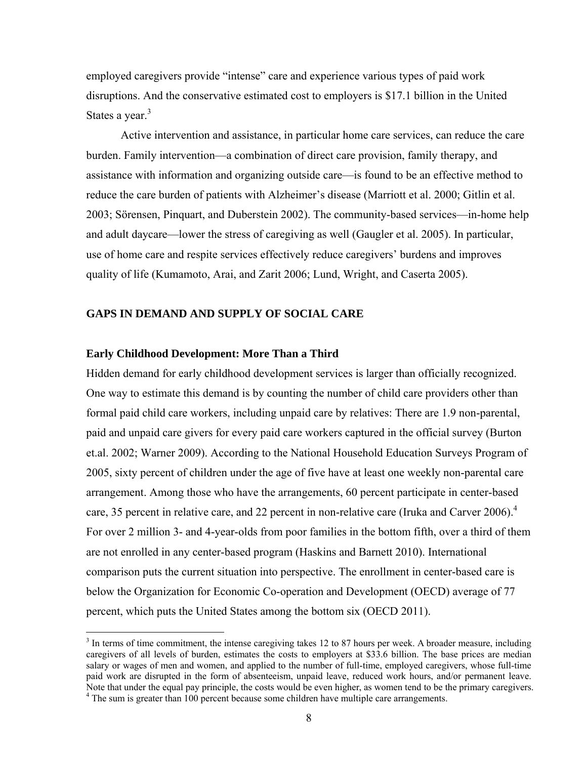employed caregivers provide "intense" care and experience various types of paid work disruptions. And the conservative estimated cost to employers is \$17.1 billion in the United States a year.<sup>3</sup>

Active intervention and assistance, in particular home care services, can reduce the care burden. Family intervention—a combination of direct care provision, family therapy, and assistance with information and organizing outside care—is found to be an effective method to reduce the care burden of patients with Alzheimer's disease (Marriott et al. 2000; Gitlin et al. 2003; Sörensen, Pinquart, and Duberstein 2002). The community-based services—in-home help and adult daycare—lower the stress of caregiving as well (Gaugler et al. 2005). In particular, use of home care and respite services effectively reduce caregivers' burdens and improves quality of life (Kumamoto, Arai, and Zarit 2006; Lund, Wright, and Caserta 2005).

#### **GAPS IN DEMAND AND SUPPLY OF SOCIAL CARE**

#### **Early Childhood Development: More Than a Third**

Hidden demand for early childhood development services is larger than officially recognized. One way to estimate this demand is by counting the number of child care providers other than formal paid child care workers, including unpaid care by relatives: There are 1.9 non-parental, paid and unpaid care givers for every paid care workers captured in the official survey (Burton et.al. 2002; Warner 2009). According to the National Household Education Surveys Program of 2005, sixty percent of children under the age of five have at least one weekly non-parental care arrangement. Among those who have the arrangements, 60 percent participate in center-based care, 35 percent in relative care, and 22 percent in non-relative care (Iruka and Carver 2006).<sup>4</sup> For over 2 million 3- and 4-year-olds from poor families in the bottom fifth, over a third of them are not enrolled in any center-based program (Haskins and Barnett 2010). International comparison puts the current situation into perspective. The enrollment in center-based care is below the Organization for Economic Co-operation and Development (OECD) average of 77 percent, which puts the United States among the bottom six (OECD 2011).

 $\overline{a}$ 

 $3$  In terms of time commitment, the intense caregiving takes 12 to 87 hours per week. A broader measure, including caregivers of all levels of burden, estimates the costs to employers at \$33.6 billion. The base prices are median salary or wages of men and women, and applied to the number of full-time, employed caregivers, whose full-time paid work are disrupted in the form of absenteeism, unpaid leave, reduced work hours, and/or permanent leave. Note that under the equal pay principle, the costs would be even higher, as women tend to be the primary caregivers. 4 <sup>4</sup> The sum is greater than 100 percent because some children have multiple care arrangements.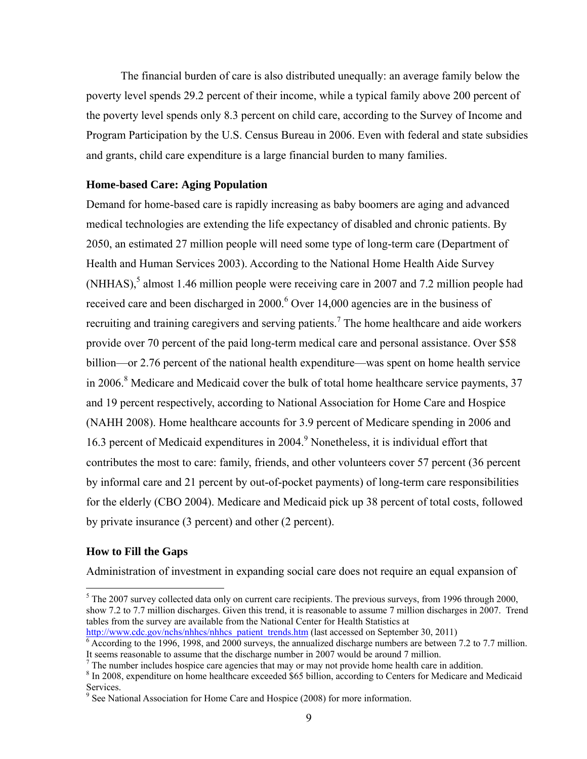The financial burden of care is also distributed unequally: an average family below the poverty level spends 29.2 percent of their income, while a typical family above 200 percent of the poverty level spends only 8.3 percent on child care, according to the Survey of Income and Program Participation by the U.S. Census Bureau in 2006. Even with federal and state subsidies and grants, child care expenditure is a large financial burden to many families.

## **Home-based Care: Aging Population**

Demand for home-based care is rapidly increasing as baby boomers are aging and advanced medical technologies are extending the life expectancy of disabled and chronic patients. By 2050, an estimated 27 million people will need some type of long-term care (Department of Health and Human Services 2003). According to the National Home Health Aide Survey (NHHAS), $5$  almost 1.46 million people were receiving care in 2007 and 7.2 million people had received care and been discharged in 2000. $6$  Over 14,000 agencies are in the business of recruiting and training caregivers and serving patients.<sup>7</sup> The home healthcare and aide workers provide over 70 percent of the paid long-term medical care and personal assistance. Over \$58 billion—or 2.76 percent of the national health expenditure—was spent on home health service in 2006.<sup>8</sup> Medicare and Medicaid cover the bulk of total home healthcare service payments, 37 and 19 percent respectively, according to National Association for Home Care and Hospice (NAHH 2008). Home healthcare accounts for 3.9 percent of Medicare spending in 2006 and 16.3 percent of Medicaid expenditures in 2004.<sup>9</sup> Nonetheless, it is individual effort that contributes the most to care: family, friends, and other volunteers cover 57 percent (36 percent by informal care and 21 percent by out-of-pocket payments) of long-term care responsibilities for the elderly (CBO 2004). Medicare and Medicaid pick up 38 percent of total costs, followed by private insurance (3 percent) and other (2 percent).

## **How to Fill the Gaps**

 $\overline{a}$ 

Administration of investment in expanding social care does not require an equal expansion of

 $<sup>5</sup>$  The 2007 survey collected data only on current care recipients. The previous surveys, from 1996 through 2000,</sup> show 7.2 to 7.7 million discharges. Given this trend, it is reasonable to assume 7 million discharges in 2007. Trend tables from the survey are available from the National Center for Health Statistics at

http://www.cdc.gov/nchs/nhhcs/nhhcs\_patient\_trends.htm (last accessed on September 30, 2011)

 $\overline{6}$  According to the 1996, 1998, and 2000 surveys, the annualized discharge numbers are between 7.2 to 7.7 million. It seems reasonable to assume that the discharge number in 2007 would be around 7 million.

 $<sup>7</sup>$  The number includes hospice care agencies that may or may not provide home health care in addition.</sup>

<sup>&</sup>lt;sup>8</sup> In 2008, expenditure on home healthcare exceeded \$65 billion, according to Centers for Medicare and Medicaid Services.

<sup>&</sup>lt;sup>9</sup> See National Association for Home Care and Hospice (2008) for more information.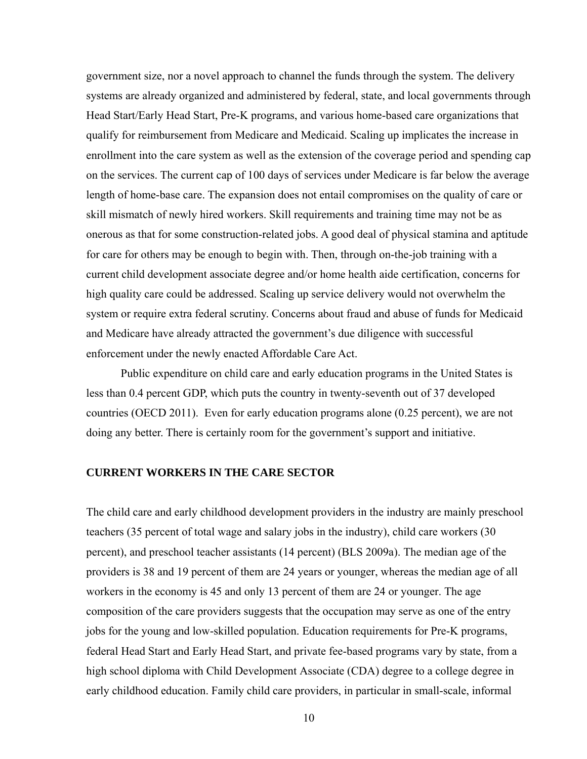government size, nor a novel approach to channel the funds through the system. The delivery systems are already organized and administered by federal, state, and local governments through Head Start/Early Head Start, Pre-K programs, and various home-based care organizations that qualify for reimbursement from Medicare and Medicaid. Scaling up implicates the increase in enrollment into the care system as well as the extension of the coverage period and spending cap on the services. The current cap of 100 days of services under Medicare is far below the average length of home-base care. The expansion does not entail compromises on the quality of care or skill mismatch of newly hired workers. Skill requirements and training time may not be as onerous as that for some construction-related jobs. A good deal of physical stamina and aptitude for care for others may be enough to begin with. Then, through on-the-job training with a current child development associate degree and/or home health aide certification, concerns for high quality care could be addressed. Scaling up service delivery would not overwhelm the system or require extra federal scrutiny. Concerns about fraud and abuse of funds for Medicaid and Medicare have already attracted the government's due diligence with successful enforcement under the newly enacted Affordable Care Act.

Public expenditure on child care and early education programs in the United States is less than 0.4 percent GDP, which puts the country in twenty-seventh out of 37 developed countries (OECD 2011). Even for early education programs alone (0.25 percent), we are not doing any better. There is certainly room for the government's support and initiative.

#### **CURRENT WORKERS IN THE CARE SECTOR**

The child care and early childhood development providers in the industry are mainly preschool teachers (35 percent of total wage and salary jobs in the industry), child care workers (30 percent), and preschool teacher assistants (14 percent) (BLS 2009a). The median age of the providers is 38 and 19 percent of them are 24 years or younger, whereas the median age of all workers in the economy is 45 and only 13 percent of them are 24 or younger. The age composition of the care providers suggests that the occupation may serve as one of the entry jobs for the young and low-skilled population. Education requirements for Pre-K programs, federal Head Start and Early Head Start, and private fee-based programs vary by state, from a high school diploma with Child Development Associate (CDA) degree to a college degree in early childhood education. Family child care providers, in particular in small-scale, informal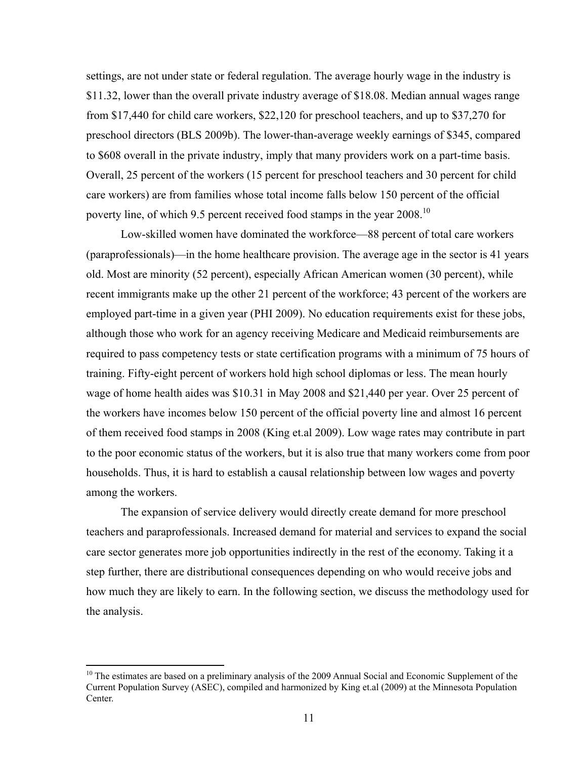settings, are not under state or federal regulation. The average hourly wage in the industry is \$11.32, lower than the overall private industry average of \$18.08. Median annual wages range from \$17,440 for child care workers, \$22,120 for preschool teachers, and up to \$37,270 for preschool directors (BLS 2009b). The lower-than-average weekly earnings of \$345, compared to \$608 overall in the private industry, imply that many providers work on a part-time basis. Overall, 25 percent of the workers (15 percent for preschool teachers and 30 percent for child care workers) are from families whose total income falls below 150 percent of the official poverty line, of which 9.5 percent received food stamps in the year 2008.<sup>10</sup>

Low-skilled women have dominated the workforce—88 percent of total care workers (paraprofessionals)—in the home healthcare provision. The average age in the sector is 41 years old. Most are minority (52 percent), especially African American women (30 percent), while recent immigrants make up the other 21 percent of the workforce; 43 percent of the workers are employed part-time in a given year (PHI 2009). No education requirements exist for these jobs, although those who work for an agency receiving Medicare and Medicaid reimbursements are required to pass competency tests or state certification programs with a minimum of 75 hours of training. Fifty-eight percent of workers hold high school diplomas or less. The mean hourly wage of home health aides was \$10.31 in May 2008 and \$21,440 per year. Over 25 percent of the workers have incomes below 150 percent of the official poverty line and almost 16 percent of them received food stamps in 2008 (King et.al 2009). Low wage rates may contribute in part to the poor economic status of the workers, but it is also true that many workers come from poor households. Thus, it is hard to establish a causal relationship between low wages and poverty among the workers.

The expansion of service delivery would directly create demand for more preschool teachers and paraprofessionals. Increased demand for material and services to expand the social care sector generates more job opportunities indirectly in the rest of the economy. Taking it a step further, there are distributional consequences depending on who would receive jobs and how much they are likely to earn. In the following section, we discuss the methodology used for the analysis.

 $\overline{a}$ 

<sup>&</sup>lt;sup>10</sup> The estimates are based on a preliminary analysis of the 2009 Annual Social and Economic Supplement of the Current Population Survey (ASEC), compiled and harmonized by King et.al (2009) at the Minnesota Population Center.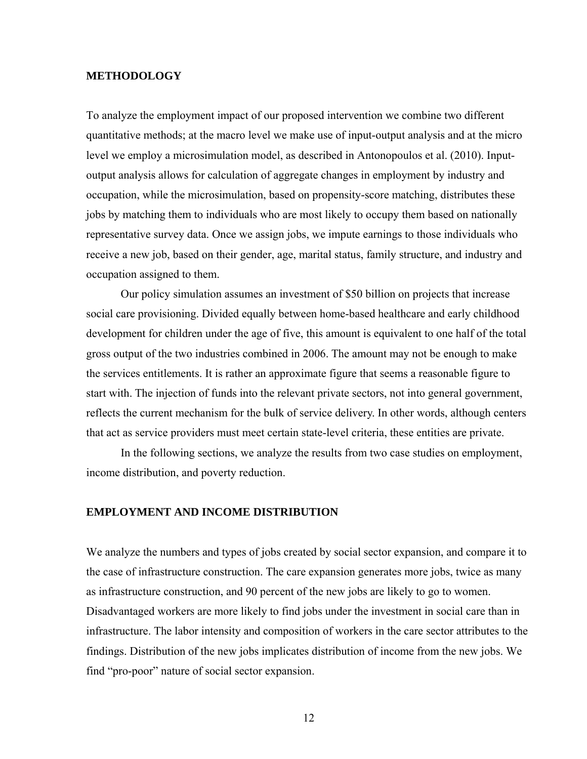## **METHODOLOGY**

To analyze the employment impact of our proposed intervention we combine two different quantitative methods; at the macro level we make use of input-output analysis and at the micro level we employ a microsimulation model, as described in Antonopoulos et al. (2010). Inputoutput analysis allows for calculation of aggregate changes in employment by industry and occupation, while the microsimulation, based on propensity-score matching, distributes these jobs by matching them to individuals who are most likely to occupy them based on nationally representative survey data. Once we assign jobs, we impute earnings to those individuals who receive a new job, based on their gender, age, marital status, family structure, and industry and occupation assigned to them.

Our policy simulation assumes an investment of \$50 billion on projects that increase social care provisioning. Divided equally between home-based healthcare and early childhood development for children under the age of five, this amount is equivalent to one half of the total gross output of the two industries combined in 2006. The amount may not be enough to make the services entitlements. It is rather an approximate figure that seems a reasonable figure to start with. The injection of funds into the relevant private sectors, not into general government, reflects the current mechanism for the bulk of service delivery. In other words, although centers that act as service providers must meet certain state-level criteria, these entities are private.

In the following sections, we analyze the results from two case studies on employment, income distribution, and poverty reduction.

## **EMPLOYMENT AND INCOME DISTRIBUTION**

We analyze the numbers and types of jobs created by social sector expansion, and compare it to the case of infrastructure construction. The care expansion generates more jobs, twice as many as infrastructure construction, and 90 percent of the new jobs are likely to go to women. Disadvantaged workers are more likely to find jobs under the investment in social care than in infrastructure. The labor intensity and composition of workers in the care sector attributes to the findings. Distribution of the new jobs implicates distribution of income from the new jobs. We find "pro-poor" nature of social sector expansion.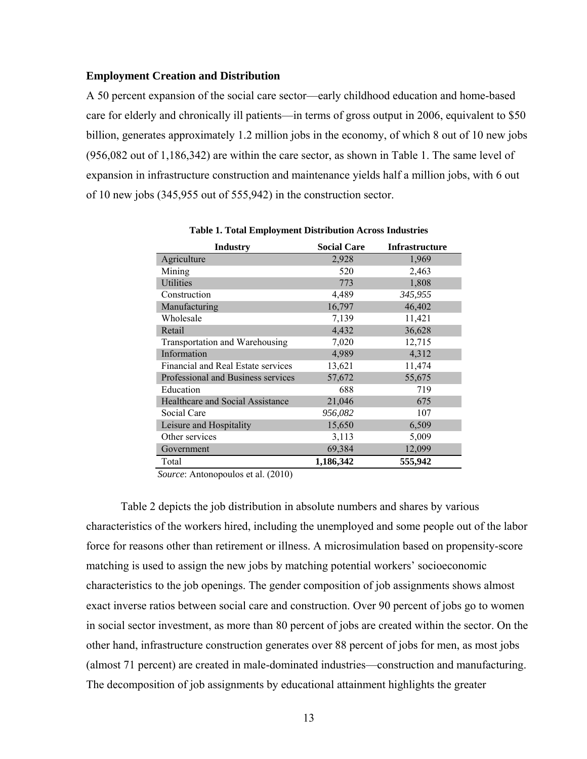#### **Employment Creation and Distribution**

A 50 percent expansion of the social care sector—early childhood education and home-based care for elderly and chronically ill patients—in terms of gross output in 2006, equivalent to \$50 billion, generates approximately 1.2 million jobs in the economy, of which 8 out of 10 new jobs (956,082 out of 1,186,342) are within the care sector, as shown in Table 1. The same level of expansion in infrastructure construction and maintenance yields half a million jobs, with 6 out of 10 new jobs (345,955 out of 555,942) in the construction sector.

| <b>Industry</b>                    | <b>Social Care</b> | <b>Infrastructure</b> |
|------------------------------------|--------------------|-----------------------|
| Agriculture                        | 2,928              | 1,969                 |
| Mining                             | 520                | 2,463                 |
| <b>Utilities</b>                   | 773                | 1,808                 |
| Construction                       | 4,489              | 345,955               |
| Manufacturing                      | 16,797             | 46,402                |
| Wholesale                          | 7,139              | 11,421                |
| Retail                             | 4,432              | 36,628                |
| Transportation and Warehousing     | 7,020              | 12,715                |
| Information                        | 4,989              | 4,312                 |
| Financial and Real Estate services | 13,621             | 11,474                |
| Professional and Business services | 57,672             | 55,675                |
| Education                          | 688                | 719                   |
| Healthcare and Social Assistance   | 21,046             | 675                   |
| Social Care                        | 956,082            | 107                   |
| Leisure and Hospitality            | 15,650             | 6,509                 |
| Other services                     | 3,113              | 5,009                 |
| Government                         | 69,384             | 12,099                |
| Total                              | 1,186,342          | 555,942               |

**Table 1. Total Employment Distribution Across Industries**

*Source*: Antonopoulos et al. (2010)

Table 2 depicts the job distribution in absolute numbers and shares by various characteristics of the workers hired, including the unemployed and some people out of the labor force for reasons other than retirement or illness. A microsimulation based on propensity-score matching is used to assign the new jobs by matching potential workers' socioeconomic characteristics to the job openings. The gender composition of job assignments shows almost exact inverse ratios between social care and construction. Over 90 percent of jobs go to women in social sector investment, as more than 80 percent of jobs are created within the sector. On the other hand, infrastructure construction generates over 88 percent of jobs for men, as most jobs (almost 71 percent) are created in male-dominated industries—construction and manufacturing. The decomposition of job assignments by educational attainment highlights the greater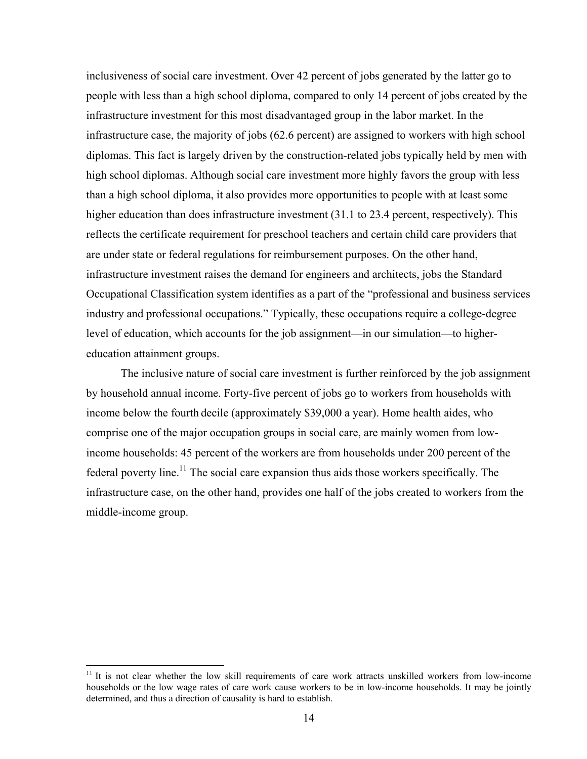inclusiveness of social care investment. Over 42 percent of jobs generated by the latter go to people with less than a high school diploma, compared to only 14 percent of jobs created by the infrastructure investment for this most disadvantaged group in the labor market. In the infrastructure case, the majority of jobs (62.6 percent) are assigned to workers with high school diplomas. This fact is largely driven by the construction-related jobs typically held by men with high school diplomas. Although social care investment more highly favors the group with less than a high school diploma, it also provides more opportunities to people with at least some higher education than does infrastructure investment (31.1 to 23.4 percent, respectively). This reflects the certificate requirement for preschool teachers and certain child care providers that are under state or federal regulations for reimbursement purposes. On the other hand, infrastructure investment raises the demand for engineers and architects, jobs the Standard Occupational Classification system identifies as a part of the "professional and business services industry and professional occupations." Typically, these occupations require a college-degree level of education, which accounts for the job assignment—in our simulation—to highereducation attainment groups.

The inclusive nature of social care investment is further reinforced by the job assignment by household annual income. Forty-five percent of jobs go to workers from households with income below the fourth decile (approximately \$39,000 a year). Home health aides, who comprise one of the major occupation groups in social care, are mainly women from lowincome households: 45 percent of the workers are from households under 200 percent of the federal poverty line.<sup>11</sup> The social care expansion thus aids those workers specifically. The infrastructure case, on the other hand, provides one half of the jobs created to workers from the middle-income group.

 $\overline{a}$ 

<sup>&</sup>lt;sup>11</sup> It is not clear whether the low skill requirements of care work attracts unskilled workers from low-income households or the low wage rates of care work cause workers to be in low-income households. It may be jointly determined, and thus a direction of causality is hard to establish.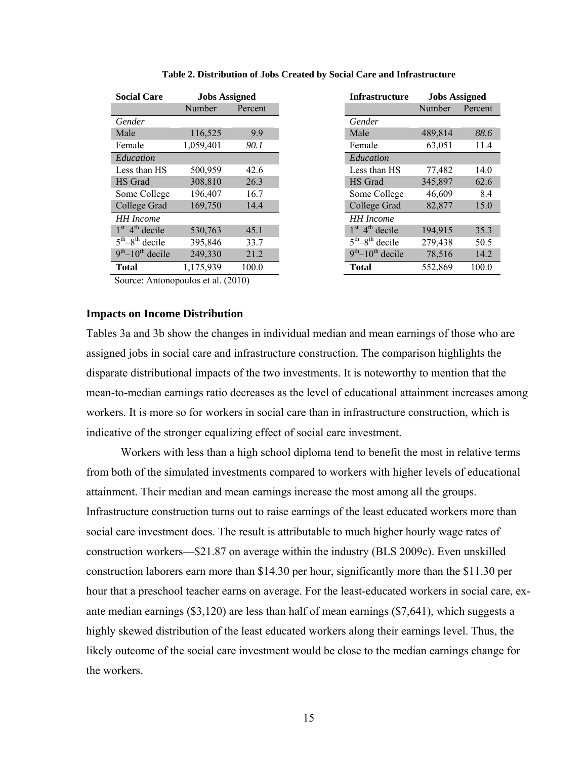| <b>Social Care</b> | <b>Jobs Assigned</b> |         | <b>Infrastructure</b> | <b>Jobs Assigned</b> |         |
|--------------------|----------------------|---------|-----------------------|----------------------|---------|
|                    | Number               | Percent |                       | Number               | Percent |
| Gender             |                      |         | Gender                |                      |         |
| Male               | 116,525              | 9.9     | Male                  | 489,814              |         |
| Female             | 1,059,401            | 90.1    | Female                | 63,051               |         |
| Education          |                      |         | Education             |                      |         |
| Less than HS       | 500,959              | 42.6    | Less than HS          | 77,482               |         |
| HS Grad            | 308,810              | 26.3    | HS Grad               | 345,897              |         |
| Some College       | 196,407              | 16.7    | Some College          | 46,609               |         |
| College Grad       | 169,750              | 14.4    | College Grad          | 82,877               |         |
| <b>HH</b> Income   |                      |         | <b>HH</b> Income      |                      |         |
| $1st - 4th$ decile | 530,763              | 45.1    | $1st - 4th$ decile    | 194,915              |         |
| $5th - 8th$ decile | 395,846              | 33.7    | $5th - 8th$ decile    | 279,438              |         |
| $9th-10th$ decile  | 249,330              | 21.2    | $9th-10th$ decile     | 78,516               |         |
| <b>Total</b>       | 1,175,939            | 100.0   | <b>Total</b>          | 552.869              |         |

#### **Table 2. Distribution of Jobs Created by Social Care and Infrastructure**

Source: Antonopoulos et al. (2010)

## **Impacts on Income Distribution**

Tables 3a and 3b show the changes in individual median and mean earnings of those who are assigned jobs in social care and infrastructure construction. The comparison highlights the disparate distributional impacts of the two investments. It is noteworthy to mention that the mean-to-median earnings ratio decreases as the level of educational attainment increases among workers. It is more so for workers in social care than in infrastructure construction, which is indicative of the stronger equalizing effect of social care investment.

Workers with less than a high school diploma tend to benefit the most in relative terms from both of the simulated investments compared to workers with higher levels of educational attainment. Their median and mean earnings increase the most among all the groups. Infrastructure construction turns out to raise earnings of the least educated workers more than social care investment does. The result is attributable to much higher hourly wage rates of construction workers—\$21.87 on average within the industry (BLS 2009c). Even unskilled construction laborers earn more than \$14.30 per hour, significantly more than the \$11.30 per hour that a preschool teacher earns on average. For the least-educated workers in social care, exante median earnings (\$3,120) are less than half of mean earnings (\$7,641), which suggests a highly skewed distribution of the least educated workers along their earnings level. Thus, the likely outcome of the social care investment would be close to the median earnings change for the workers.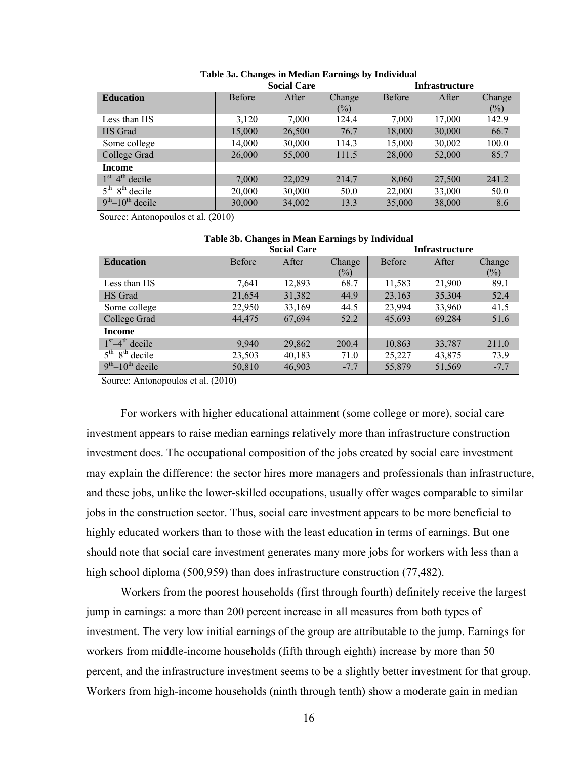|                    |               | <b>Social Care</b> |        | <b>Infrastructure</b> |        |        |  |
|--------------------|---------------|--------------------|--------|-----------------------|--------|--------|--|
| <b>Education</b>   | <b>Before</b> | After              | Change | <b>Before</b>         | After  | Change |  |
|                    |               |                    | $(\%)$ |                       |        | $(\%)$ |  |
| Less than HS       | 3,120         | 7,000              | 124.4  | 7,000                 | 17,000 | 142.9  |  |
| HS Grad            | 15,000        | 26,500             | 76.7   | 18,000                | 30,000 | 66.7   |  |
| Some college       | 14,000        | 30,000             | 114.3  | 15,000                | 30,002 | 100.0  |  |
| College Grad       | 26,000        | 55,000             | 111.5  | 28,000                | 52,000 | 85.7   |  |
| <b>Income</b>      |               |                    |        |                       |        |        |  |
| $1st - 4th$ decile | 7,000         | 22,029             | 214.7  | 8,060                 | 27,500 | 241.2  |  |
| $5th-8th$ decile   | 20,000        | 30,000             | 50.0   | 22,000                | 33,000 | 50.0   |  |
| $9th-10th$ decile  | 30,000        | 34,002             | 13.3   | 35,000                | 38,000 | 8.6    |  |

#### **Table 3a. Changes in Median Earnings by Individual**

Source: Antonopoulos et al. (2010)

| Table 50. Changes in inteal Earnings by Individual |               |                    |        |                       |        |        |  |
|----------------------------------------------------|---------------|--------------------|--------|-----------------------|--------|--------|--|
|                                                    |               | <b>Social Care</b> |        | <b>Infrastructure</b> |        |        |  |
| <b>Education</b>                                   | <b>Before</b> | After              | Change | <b>Before</b>         | After  | Change |  |
|                                                    |               |                    | $(\%)$ |                       |        | $(\%)$ |  |
| Less than HS                                       | 7,641         | 12,893             | 68.7   | 11,583                | 21,900 | 89.1   |  |
| HS Grad                                            | 21,654        | 31,382             | 44.9   | 23,163                | 35,304 | 52.4   |  |
| Some college                                       | 22,950        | 33,169             | 44.5   | 23,994                | 33,960 | 41.5   |  |
| College Grad                                       | 44,475        | 67,694             | 52.2   | 45,693                | 69,284 | 51.6   |  |
| <b>Income</b>                                      |               |                    |        |                       |        |        |  |
| $1st - 4th$ decile                                 | 9,940         | 29,862             | 200.4  | 10,863                | 33,787 | 211.0  |  |
| $5th-8th$ decile                                   | 23,503        | 40,183             | 71.0   | 25,227                | 43,875 | 73.9   |  |
| $9th-10th$ decile                                  | 50,810        | 46,903             | $-7.7$ | 55,879                | 51,569 | $-7.7$ |  |

# **Table 3b. Changes in Mean Earnings by Individual**

Source: Antonopoulos et al. (2010)

For workers with higher educational attainment (some college or more), social care investment appears to raise median earnings relatively more than infrastructure construction investment does. The occupational composition of the jobs created by social care investment may explain the difference: the sector hires more managers and professionals than infrastructure, and these jobs, unlike the lower-skilled occupations, usually offer wages comparable to similar jobs in the construction sector. Thus, social care investment appears to be more beneficial to highly educated workers than to those with the least education in terms of earnings. But one should note that social care investment generates many more jobs for workers with less than a high school diploma (500,959) than does infrastructure construction (77,482).

Workers from the poorest households (first through fourth) definitely receive the largest jump in earnings: a more than 200 percent increase in all measures from both types of investment. The very low initial earnings of the group are attributable to the jump. Earnings for workers from middle-income households (fifth through eighth) increase by more than 50 percent, and the infrastructure investment seems to be a slightly better investment for that group. Workers from high-income households (ninth through tenth) show a moderate gain in median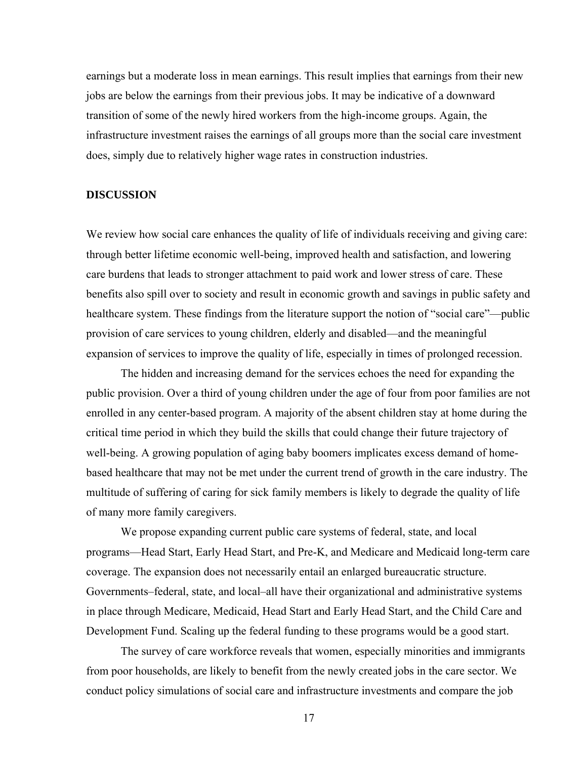earnings but a moderate loss in mean earnings. This result implies that earnings from their new jobs are below the earnings from their previous jobs. It may be indicative of a downward transition of some of the newly hired workers from the high-income groups. Again, the infrastructure investment raises the earnings of all groups more than the social care investment does, simply due to relatively higher wage rates in construction industries.

## **DISCUSSION**

We review how social care enhances the quality of life of individuals receiving and giving care: through better lifetime economic well-being, improved health and satisfaction, and lowering care burdens that leads to stronger attachment to paid work and lower stress of care. These benefits also spill over to society and result in economic growth and savings in public safety and healthcare system. These findings from the literature support the notion of "social care"—public provision of care services to young children, elderly and disabled—and the meaningful expansion of services to improve the quality of life, especially in times of prolonged recession.

The hidden and increasing demand for the services echoes the need for expanding the public provision. Over a third of young children under the age of four from poor families are not enrolled in any center-based program. A majority of the absent children stay at home during the critical time period in which they build the skills that could change their future trajectory of well-being. A growing population of aging baby boomers implicates excess demand of homebased healthcare that may not be met under the current trend of growth in the care industry. The multitude of suffering of caring for sick family members is likely to degrade the quality of life of many more family caregivers.

We propose expanding current public care systems of federal, state, and local programs—Head Start, Early Head Start, and Pre-K, and Medicare and Medicaid long-term care coverage. The expansion does not necessarily entail an enlarged bureaucratic structure. Governments–federal, state, and local–all have their organizational and administrative systems in place through Medicare, Medicaid, Head Start and Early Head Start, and the Child Care and Development Fund. Scaling up the federal funding to these programs would be a good start.

The survey of care workforce reveals that women, especially minorities and immigrants from poor households, are likely to benefit from the newly created jobs in the care sector. We conduct policy simulations of social care and infrastructure investments and compare the job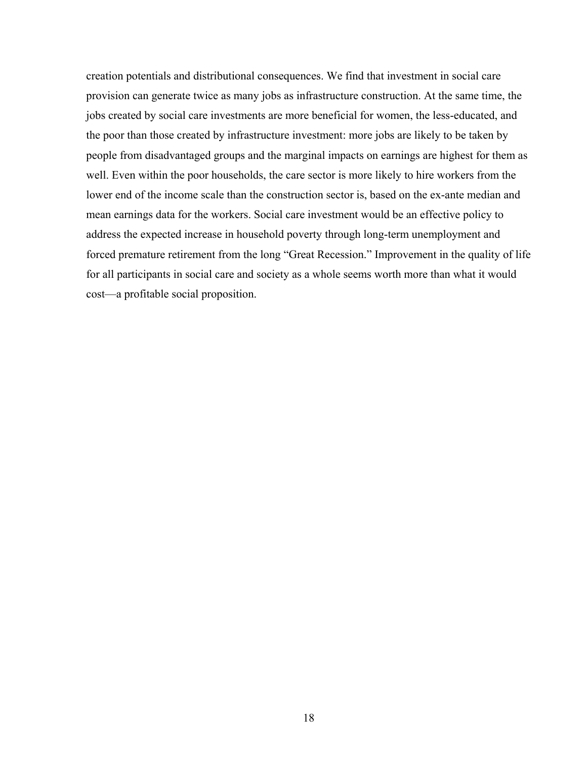creation potentials and distributional consequences. We find that investment in social care provision can generate twice as many jobs as infrastructure construction. At the same time, the jobs created by social care investments are more beneficial for women, the less-educated, and the poor than those created by infrastructure investment: more jobs are likely to be taken by people from disadvantaged groups and the marginal impacts on earnings are highest for them as well. Even within the poor households, the care sector is more likely to hire workers from the lower end of the income scale than the construction sector is, based on the ex-ante median and mean earnings data for the workers. Social care investment would be an effective policy to address the expected increase in household poverty through long-term unemployment and forced premature retirement from the long "Great Recession." Improvement in the quality of life for all participants in social care and society as a whole seems worth more than what it would cost—a profitable social proposition.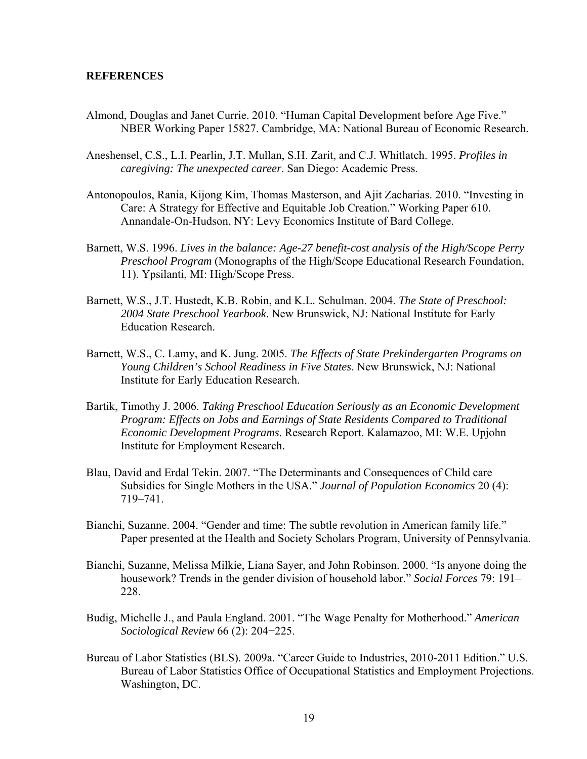#### **REFERENCES**

- Almond, Douglas and Janet Currie. 2010. "Human Capital Development before Age Five." NBER Working Paper 15827. Cambridge, MA: National Bureau of Economic Research.
- Aneshensel, C.S., L.I. Pearlin, J.T. Mullan, S.H. Zarit, and C.J. Whitlatch. 1995. *Profiles in caregiving: The unexpected career*. San Diego: Academic Press.
- Antonopoulos, Rania, Kijong Kim, Thomas Masterson, and Ajit Zacharias. 2010. "Investing in Care: A Strategy for Effective and Equitable Job Creation." Working Paper 610. Annandale-On-Hudson, NY: Levy Economics Institute of Bard College.
- Barnett, W.S. 1996. *Lives in the balance: Age-27 benefit-cost analysis of the High/Scope Perry Preschool Program* (Monographs of the High/Scope Educational Research Foundation, 11). Ypsilanti, MI: High/Scope Press.
- Barnett, W.S., J.T. Hustedt, K.B. Robin, and K.L. Schulman. 2004. *The State of Preschool: 2004 State Preschool Yearbook*. New Brunswick, NJ: National Institute for Early Education Research.
- Barnett, W.S., C. Lamy, and K. Jung. 2005. *The Effects of State Prekindergarten Programs on Young Children's School Readiness in Five States*. New Brunswick, NJ: National Institute for Early Education Research.
- Bartik, Timothy J. 2006. *Taking Preschool Education Seriously as an Economic Development Program: Effects on Jobs and Earnings of State Residents Compared to Traditional Economic Development Programs*. Research Report. Kalamazoo, MI: W.E. Upjohn Institute for Employment Research.
- Blau, David and Erdal Tekin. 2007. "The Determinants and Consequences of Child care Subsidies for Single Mothers in the USA." *Journal of Population Economics* 20 (4): 719–741.
- Bianchi, Suzanne. 2004. "Gender and time: The subtle revolution in American family life." Paper presented at the Health and Society Scholars Program, University of Pennsylvania.
- Bianchi, Suzanne, Melissa Milkie, Liana Sayer, and John Robinson. 2000. "Is anyone doing the housework? Trends in the gender division of household labor." *Social Forces* 79: 191– 228.
- Budig, Michelle J., and Paula England. 2001. "The Wage Penalty for Motherhood." *American Sociological Review* 66 (2): 204−225.
- Bureau of Labor Statistics (BLS). 2009a. "Career Guide to Industries, 2010-2011 Edition." U.S. Bureau of Labor Statistics Office of Occupational Statistics and Employment Projections. Washington, DC.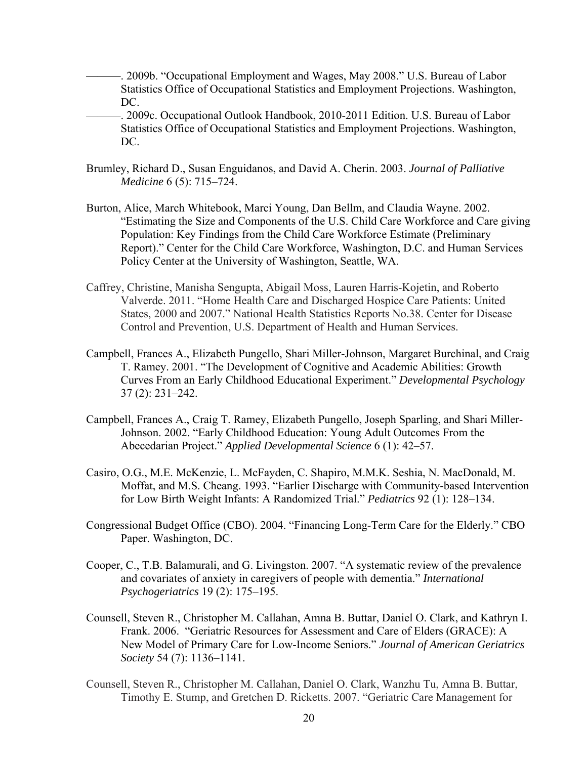———. 2009b. "Occupational Employment and Wages, May 2008." U.S. Bureau of Labor Statistics Office of Occupational Statistics and Employment Projections. Washington, DC.

———. 2009c. Occupational Outlook Handbook, 2010-2011 Edition. U.S. Bureau of Labor Statistics Office of Occupational Statistics and Employment Projections. Washington, DC.

- Brumley, Richard D., Susan Enguidanos, and David A. Cherin. 2003. *Journal of Palliative Medicine* 6 (5): 715–724.
- Burton, Alice, March Whitebook, Marci Young, Dan Bellm, and Claudia Wayne. 2002. "Estimating the Size and Components of the U.S. Child Care Workforce and Care giving Population: Key Findings from the Child Care Workforce Estimate (Preliminary Report)." Center for the Child Care Workforce, Washington, D.C. and Human Services Policy Center at the University of Washington, Seattle, WA.
- Caffrey, Christine, Manisha Sengupta, Abigail Moss, Lauren Harris-Kojetin, and Roberto Valverde. 2011. "Home Health Care and Discharged Hospice Care Patients: United States, 2000 and 2007." National Health Statistics Reports No.38. Center for Disease Control and Prevention, U.S. Department of Health and Human Services.
- Campbell, Frances A., Elizabeth Pungello, Shari Miller-Johnson, Margaret Burchinal, and Craig T. Ramey. 2001. "The Development of Cognitive and Academic Abilities: Growth Curves From an Early Childhood Educational Experiment." *Developmental Psychology* 37 (2): 231–242.
- Campbell, Frances A., Craig T. Ramey, Elizabeth Pungello, Joseph Sparling, and Shari Miller-Johnson. 2002. "Early Childhood Education: Young Adult Outcomes From the Abecedarian Project." *Applied Developmental Science* 6 (1): 42–57.
- Casiro, O.G., M.E. McKenzie, L. McFayden, C. Shapiro, M.M.K. Seshia, N. MacDonald, M. Moffat, and M.S. Cheang. 1993. "Earlier Discharge with Community-based Intervention for Low Birth Weight Infants: A Randomized Trial." *Pediatrics* 92 (1): 128–134.
- Congressional Budget Office (CBO). 2004. "Financing Long-Term Care for the Elderly." CBO Paper. Washington, DC.
- Cooper, C., T.B. Balamurali, and G. Livingston. 2007. "A systematic review of the prevalence and covariates of anxiety in caregivers of people with dementia." *International Psychogeriatrics* 19 (2): 175–195.
- Counsell, Steven R., Christopher M. Callahan, Amna B. Buttar, Daniel O. Clark, and Kathryn I. Frank. 2006. "Geriatric Resources for Assessment and Care of Elders (GRACE): A New Model of Primary Care for Low-Income Seniors." *Journal of American Geriatrics Society* 54 (7): 1136–1141.
- Counsell, Steven R., Christopher M. Callahan, Daniel O. Clark, Wanzhu Tu, Amna B. Buttar, Timothy E. Stump, and Gretchen D. Ricketts. 2007. "Geriatric Care Management for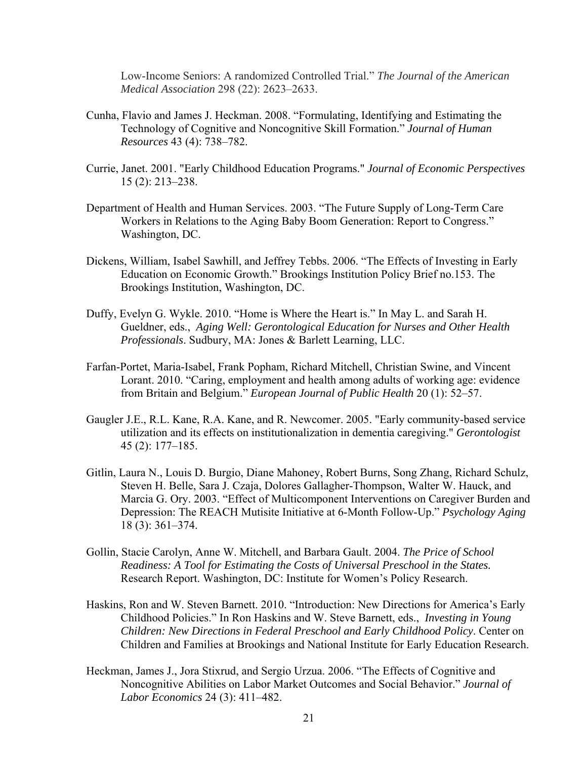Low-Income Seniors: A randomized Controlled Trial." *The Journal of the American Medical Association* 298 (22): 2623–2633.

- Cunha, Flavio and James J. Heckman. 2008. "Formulating, Identifying and Estimating the Technology of Cognitive and Noncognitive Skill Formation." *Journal of Human Resources* 43 (4): 738–782.
- Currie, Janet. 2001. "Early Childhood Education Programs." *Journal of Economic Perspectives* 15 (2): 213–238.
- Department of Health and Human Services. 2003. "The Future Supply of Long-Term Care Workers in Relations to the Aging Baby Boom Generation: Report to Congress." Washington, DC.
- Dickens, William, Isabel Sawhill, and Jeffrey Tebbs. 2006. "The Effects of Investing in Early Education on Economic Growth." Brookings Institution Policy Brief no.153. The Brookings Institution, Washington, DC.
- Duffy, Evelyn G. Wykle. 2010. "Home is Where the Heart is." In May L. and Sarah H. Gueldner, eds., *Aging Well: Gerontological Education for Nurses and Other Health Professionals*. Sudbury, MA: Jones & Barlett Learning, LLC.
- Farfan-Portet, Maria-Isabel, Frank Popham, Richard Mitchell, Christian Swine, and Vincent Lorant. 2010. "Caring, employment and health among adults of working age: evidence from Britain and Belgium." *European Journal of Public Health* 20 (1): 52–57.
- Gaugler J.E., R.L. Kane, R.A. Kane, and R. Newcomer. 2005. "Early community-based service utilization and its effects on institutionalization in dementia caregiving." *Gerontologist* 45 (2): 177–185.
- Gitlin, Laura N., Louis D. Burgio, Diane Mahoney, Robert Burns, Song Zhang, Richard Schulz, Steven H. Belle, Sara J. Czaja, Dolores Gallagher-Thompson, Walter W. Hauck, and Marcia G. Ory. 2003. "Effect of Multicomponent Interventions on Caregiver Burden and Depression: The REACH Mutisite Initiative at 6-Month Follow-Up." *Psychology Aging* 18 (3): 361–374.
- Gollin, Stacie Carolyn, Anne W. Mitchell, and Barbara Gault. 2004. *The Price of School Readiness: A Tool for Estimating the Costs of Universal Preschool in the States.* Research Report. Washington, DC: Institute for Women's Policy Research.
- Haskins, Ron and W. Steven Barnett. 2010. "Introduction: New Directions for America's Early Childhood Policies." In Ron Haskins and W. Steve Barnett, eds., *Investing in Young Children: New Directions in Federal Preschool and Early Childhood Policy*. Center on Children and Families at Brookings and National Institute for Early Education Research.
- Heckman, James J., Jora Stixrud, and Sergio Urzua. 2006. "The Effects of Cognitive and Noncognitive Abilities on Labor Market Outcomes and Social Behavior." *Journal of Labor Economics* 24 (3): 411–482.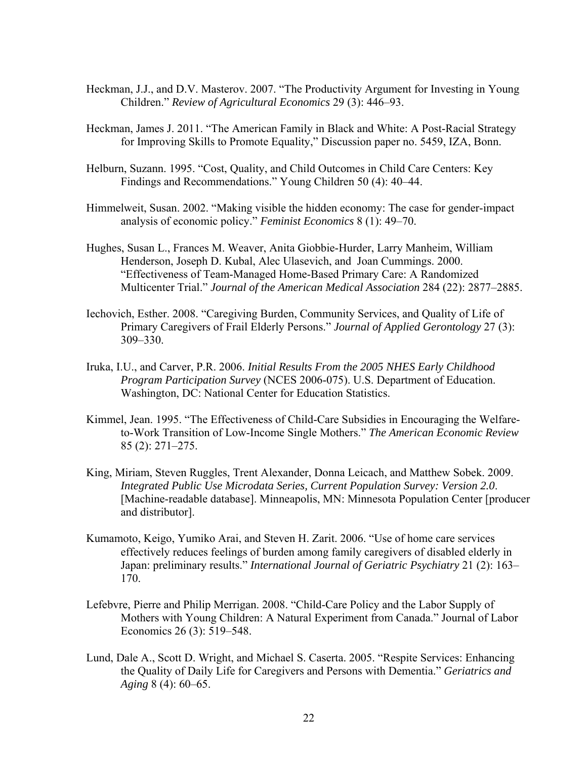- Heckman, J.J., and D.V. Masterov. 2007. "The Productivity Argument for Investing in Young Children." *Review of Agricultural Economics* 29 (3): 446–93.
- Heckman, James J. 2011. "The American Family in Black and White: A Post-Racial Strategy for Improving Skills to Promote Equality," Discussion paper no. 5459, IZA, Bonn.
- Helburn, Suzann. 1995. "Cost, Quality, and Child Outcomes in Child Care Centers: Key Findings and Recommendations." Young Children 50 (4): 40–44.
- Himmelweit, Susan. 2002. "Making visible the hidden economy: The case for gender-impact analysis of economic policy." *Feminist Economics* 8 (1): 49–70.
- Hughes, Susan L., Frances M. Weaver, Anita Giobbie-Hurder, Larry Manheim, William Henderson, Joseph D. Kubal, Alec Ulasevich, and Joan Cummings. 2000. "Effectiveness of Team-Managed Home-Based Primary Care: A Randomized Multicenter Trial." *Journal of the American Medical Association* 284 (22): 2877–2885.
- Iechovich, Esther. 2008. "Caregiving Burden, Community Services, and Quality of Life of Primary Caregivers of Frail Elderly Persons." *Journal of Applied Gerontology* 27 (3): 309–330.
- Iruka, I.U., and Carver, P.R. 2006. *Initial Results From the 2005 NHES Early Childhood Program Participation Survey* (NCES 2006-075). U.S. Department of Education. Washington, DC: National Center for Education Statistics.
- Kimmel, Jean. 1995. "The Effectiveness of Child-Care Subsidies in Encouraging the Welfareto-Work Transition of Low-Income Single Mothers." *The American Economic Review* 85 (2): 271–275.
- King, Miriam, Steven Ruggles, Trent Alexander, Donna Leicach, and Matthew Sobek. 2009. *Integrated Public Use Microdata Series, Current Population Survey: Version 2.0*. [Machine-readable database]. Minneapolis, MN: Minnesota Population Center [producer and distributor].
- Kumamoto, Keigo, Yumiko Arai, and Steven H. Zarit. 2006. "Use of home care services effectively reduces feelings of burden among family caregivers of disabled elderly in Japan: preliminary results." *International Journal of Geriatric Psychiatry* 21 (2): 163– 170.
- Lefebvre, Pierre and Philip Merrigan. 2008. "Child-Care Policy and the Labor Supply of Mothers with Young Children: A Natural Experiment from Canada." Journal of Labor Economics 26 (3): 519–548.
- Lund, Dale A., Scott D. Wright, and Michael S. Caserta. 2005. "Respite Services: Enhancing the Quality of Daily Life for Caregivers and Persons with Dementia." *Geriatrics and Aging* 8 (4): 60–65.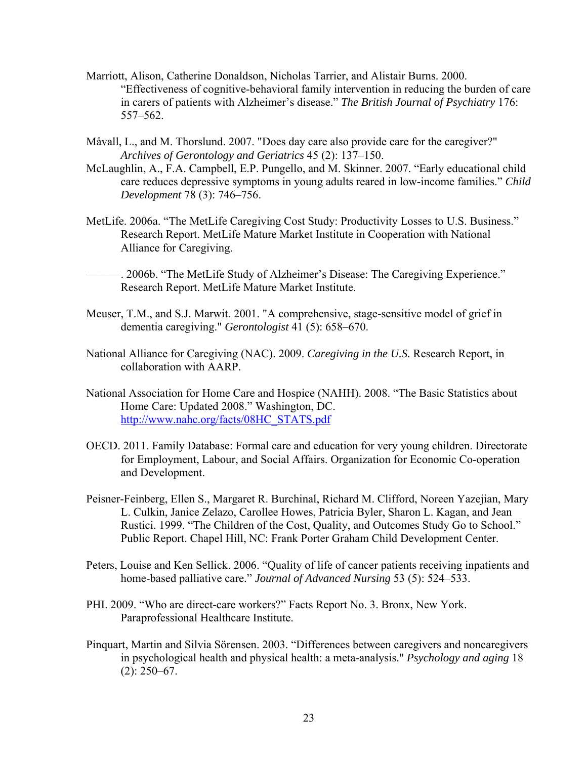- Marriott, Alison, Catherine Donaldson, Nicholas Tarrier, and Alistair Burns. 2000. "Effectiveness of cognitive-behavioral family intervention in reducing the burden of care in carers of patients with Alzheimer's disease." *The British Journal of Psychiatry* 176: 557–562.
- Måvall, L., and M. Thorslund. 2007. "Does day care also provide care for the caregiver?" *Archives of Gerontology and Geriatrics* 45 (2): 137–150.
- McLaughlin, A., F.A. Campbell, E.P. Pungello, and M. Skinner. 2007. "Early educational child care reduces depressive symptoms in young adults reared in low-income families." *Child Development* 78 (3): 746–756.
- MetLife. 2006a. "The MetLife Caregiving Cost Study: Productivity Losses to U.S. Business." Research Report. MetLife Mature Market Institute in Cooperation with National Alliance for Caregiving.
- ———. 2006b. "The MetLife Study of Alzheimer's Disease: The Caregiving Experience." Research Report. MetLife Mature Market Institute.
- Meuser, T.M., and S.J. Marwit. 2001. "A comprehensive, stage-sensitive model of grief in dementia caregiving." *Gerontologist* 41 (5): 658–670.
- National Alliance for Caregiving (NAC). 2009. *Caregiving in the U.S.* Research Report, in collaboration with AARP.
- National Association for Home Care and Hospice (NAHH). 2008. "The Basic Statistics about Home Care: Updated 2008." Washington, DC. http://www.nahc.org/facts/08HC\_STATS.pdf
- OECD. 2011. Family Database: Formal care and education for very young children. Directorate for Employment, Labour, and Social Affairs. Organization for Economic Co-operation and Development.
- Peisner-Feinberg, Ellen S., Margaret R. Burchinal, Richard M. Clifford, Noreen Yazejian, Mary L. Culkin, Janice Zelazo, Carollee Howes, Patricia Byler, Sharon L. Kagan, and Jean Rustici. 1999. "The Children of the Cost, Quality, and Outcomes Study Go to School." Public Report. Chapel Hill, NC: Frank Porter Graham Child Development Center.
- Peters, Louise and Ken Sellick. 2006. "Quality of life of cancer patients receiving inpatients and home-based palliative care." *Journal of Advanced Nursing* 53 (5): 524–533.
- PHI. 2009. "Who are direct-care workers?" Facts Report No. 3. Bronx, New York. Paraprofessional Healthcare Institute.
- Pinquart, Martin and Silvia Sörensen. 2003. "Differences between caregivers and noncaregivers in psychological health and physical health: a meta-analysis." *Psychology and aging* 18  $(2): 250-67.$